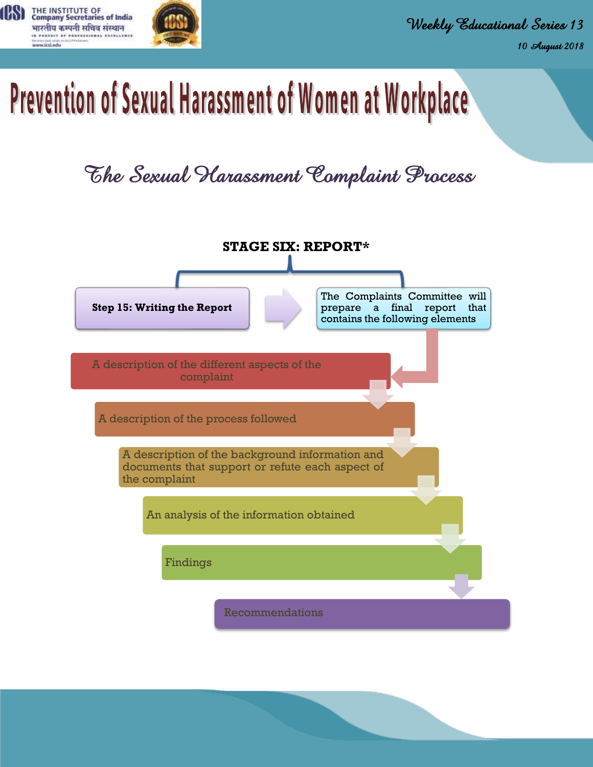

## Prevention of Sexual Harassment of Women at Workplace

## *The Sexual Harassment Complaint Process*